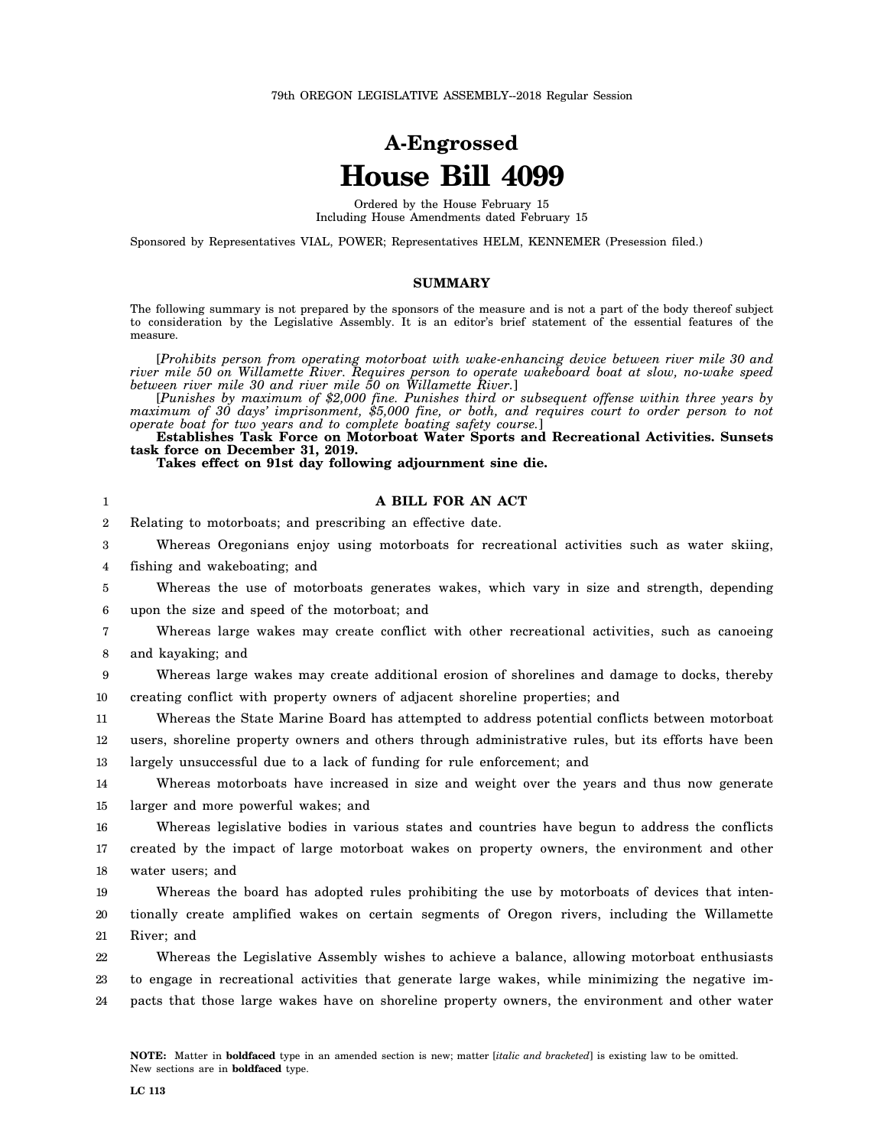## **A-Engrossed House Bill 4099**

Ordered by the House February 15 Including House Amendments dated February 15

Sponsored by Representatives VIAL, POWER; Representatives HELM, KENNEMER (Presession filed.)

## **SUMMARY**

The following summary is not prepared by the sponsors of the measure and is not a part of the body thereof subject to consideration by the Legislative Assembly. It is an editor's brief statement of the essential features of the measure.

[*Prohibits person from operating motorboat with wake-enhancing device between river mile 30 and river mile 50 on Willamette River. Requires person to operate wakeboard boat at slow, no-wake speed between river mile 30 and river mile 50 on Willamette River.*]

[*Punishes by maximum of \$2,000 fine. Punishes third or subsequent offense within three years by maximum of 30 days' imprisonment, \$5,000 fine, or both, and requires court to order person to not operate boat for two years and to complete boating safety course.*]

**Establishes Task Force on Motorboat Water Sports and Recreational Activities. Sunsets task force on December 31, 2019.**

**Takes effect on 91st day following adjournment sine die.**

| $\mathbf{1}$   | A BILL FOR AN ACT                                                                                   |
|----------------|-----------------------------------------------------------------------------------------------------|
| $\overline{2}$ | Relating to motorboats; and prescribing an effective date.                                          |
| 3              | Whereas Oregonians enjoy using motorboats for recreational activities such as water skiing,         |
| 4              | fishing and wakeboating; and                                                                        |
| 5              | Whereas the use of motorboats generates wakes, which vary in size and strength, depending           |
| 6              | upon the size and speed of the motorboat; and                                                       |
| 7              | Whereas large wakes may create conflict with other recreational activities, such as canoeing        |
| 8              | and kayaking; and                                                                                   |
| 9              | Whereas large wakes may create additional erosion of shorelines and damage to docks, thereby        |
| 10             | creating conflict with property owners of adjacent shoreline properties; and                        |
| 11             | Whereas the State Marine Board has attempted to address potential conflicts between motorboat       |
| 12             | users, shoreline property owners and others through administrative rules, but its efforts have been |
| 13             | largely unsuccessful due to a lack of funding for rule enforcement; and                             |
| 14             | Whereas motorboats have increased in size and weight over the years and thus now generate           |
| 15             | larger and more powerful wakes; and                                                                 |
| 16             | Whereas legislative bodies in various states and countries have begun to address the conflicts      |
| 17             | created by the impact of large motorboat wakes on property owners, the environment and other        |
| 18             | water users; and                                                                                    |
| 19             | Whereas the board has adopted rules prohibiting the use by motorboats of devices that inten-        |
| 20             | tionally create amplified wakes on certain segments of Oregon rivers, including the Willamette      |
| 21             | River; and                                                                                          |
| 22             | Whereas the Legislative Assembly wishes to achieve a balance, allowing motorboat enthusiasts        |
| 23             | to engage in recreational activities that generate large wakes, while minimizing the negative im-   |
| 24             | pacts that those large wakes have on shoreline property owners, the environment and other water     |
|                |                                                                                                     |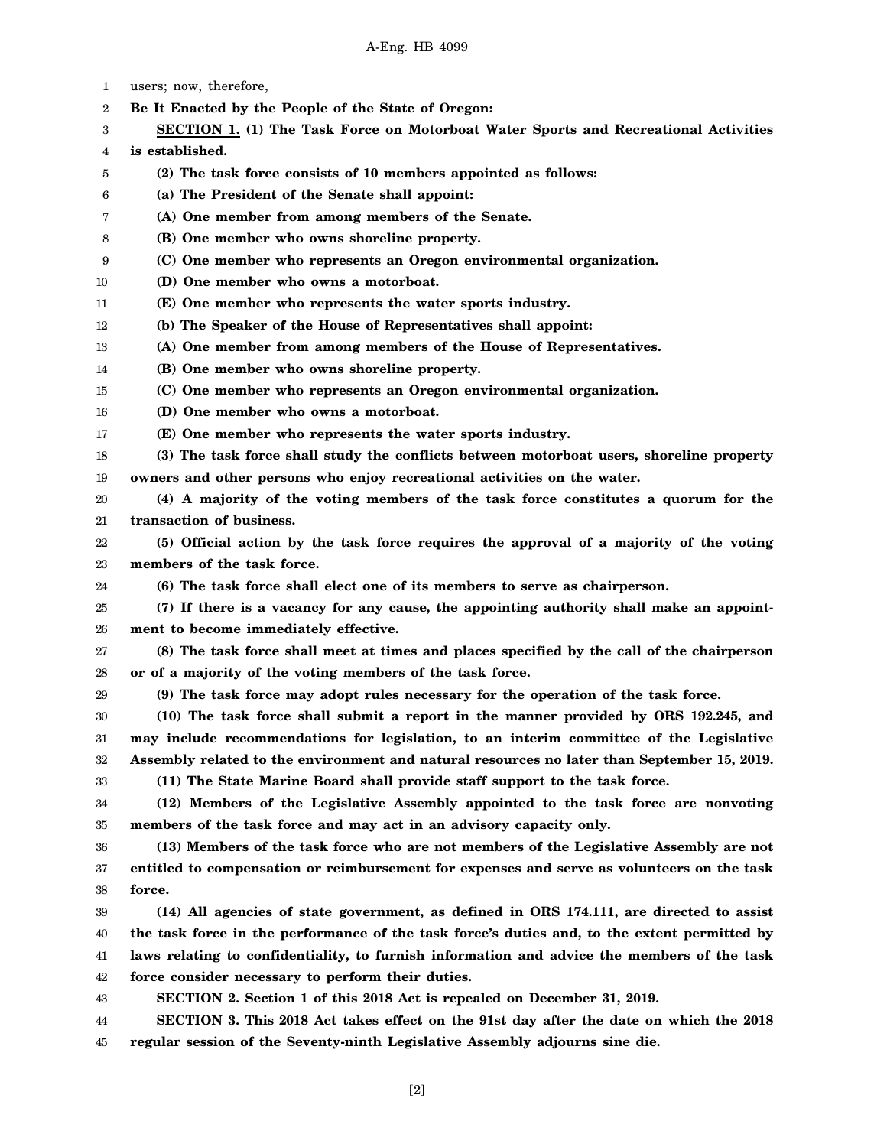1 2 3 4 5 6 7 8 9 10 11 12 13 14 15 16 17 18 19 20 21 22 23 24 25 26 27 28 29 30 31 32 33 34 35 36 37 38 39 40 41 42 43 44 45 users; now, therefore, **Be It Enacted by the People of the State of Oregon: SECTION 1. (1) The Task Force on Motorboat Water Sports and Recreational Activities is established. (2) The task force consists of 10 members appointed as follows: (a) The President of the Senate shall appoint: (A) One member from among members of the Senate. (B) One member who owns shoreline property. (C) One member who represents an Oregon environmental organization. (D) One member who owns a motorboat. (E) One member who represents the water sports industry. (b) The Speaker of the House of Representatives shall appoint: (A) One member from among members of the House of Representatives. (B) One member who owns shoreline property. (C) One member who represents an Oregon environmental organization. (D) One member who owns a motorboat. (E) One member who represents the water sports industry. (3) The task force shall study the conflicts between motorboat users, shoreline property owners and other persons who enjoy recreational activities on the water. (4) A majority of the voting members of the task force constitutes a quorum for the transaction of business. (5) Official action by the task force requires the approval of a majority of the voting members of the task force. (6) The task force shall elect one of its members to serve as chairperson. (7) If there is a vacancy for any cause, the appointing authority shall make an appointment to become immediately effective. (8) The task force shall meet at times and places specified by the call of the chairperson or of a majority of the voting members of the task force. (9) The task force may adopt rules necessary for the operation of the task force. (10) The task force shall submit a report in the manner provided by ORS 192.245, and may include recommendations for legislation, to an interim committee of the Legislative Assembly related to the environment and natural resources no later than September 15, 2019. (11) The State Marine Board shall provide staff support to the task force. (12) Members of the Legislative Assembly appointed to the task force are nonvoting members of the task force and may act in an advisory capacity only. (13) Members of the task force who are not members of the Legislative Assembly are not entitled to compensation or reimbursement for expenses and serve as volunteers on the task force. (14) All agencies of state government, as defined in ORS 174.111, are directed to assist the task force in the performance of the task force's duties and, to the extent permitted by laws relating to confidentiality, to furnish information and advice the members of the task force consider necessary to perform their duties. SECTION 2. Section 1 of this 2018 Act is repealed on December 31, 2019. SECTION 3. This 2018 Act takes effect on the 91st day after the date on which the 2018 regular session of the Seventy-ninth Legislative Assembly adjourns sine die.**